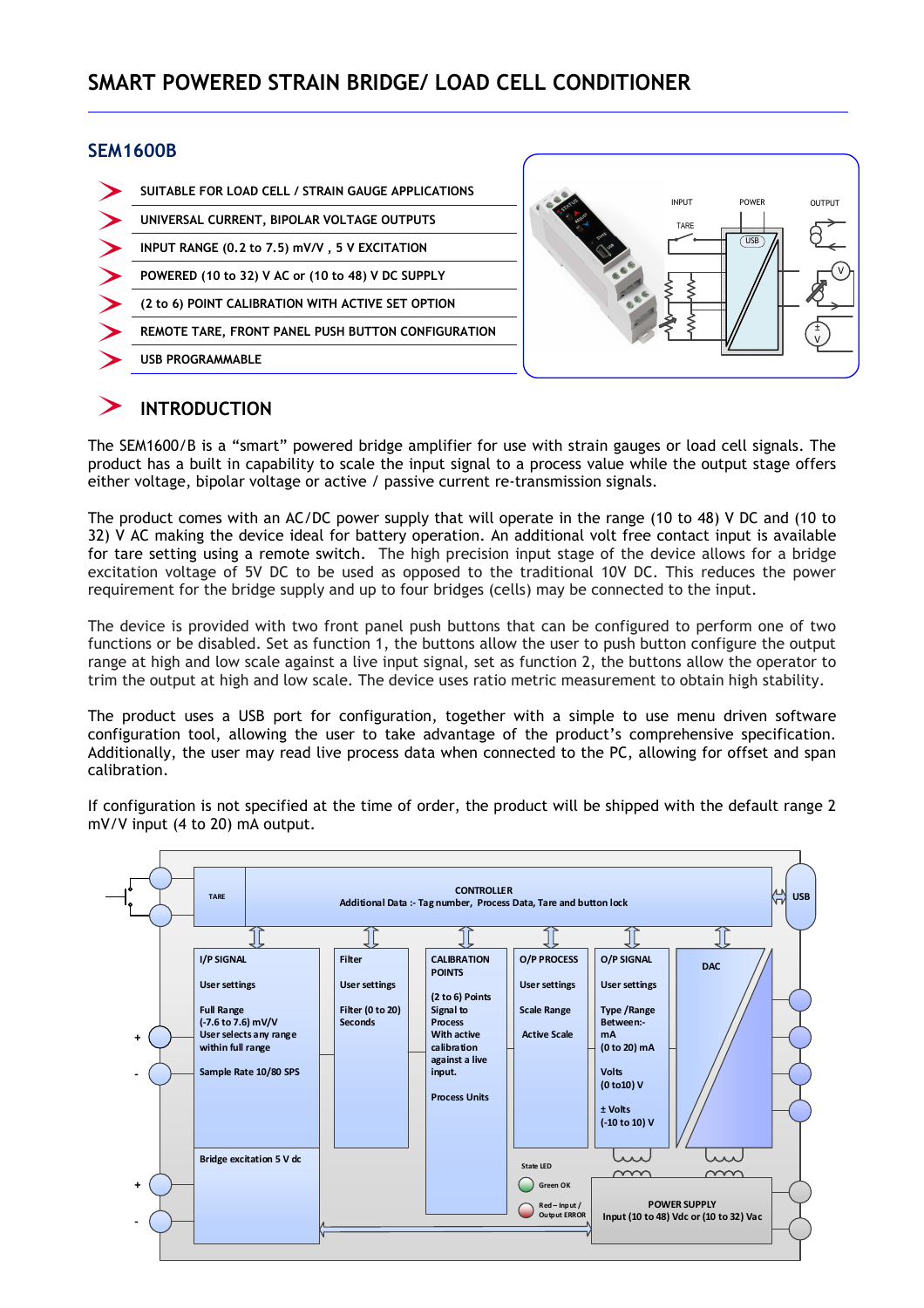#### **SEM1600B**



## **INTRODUCTION**

The SEM1600/B is a "smart" powered bridge amplifier for use with strain gauges or load cell signals. The product has a built in capability to scale the input signal to a process value while the output stage offers either voltage, bipolar voltage or active / passive current re-transmission signals.

The product comes with an AC/DC power supply that will operate in the range (10 to 48) V DC and (10 to 32) V AC making the device ideal for battery operation. An additional volt free contact input is available for tare setting using a remote switch. The high precision input stage of the device allows for a bridge excitation voltage of 5V DC to be used as opposed to the traditional 10V DC. This reduces the power requirement for the bridge supply and up to four bridges (cells) may be connected to the input.

The device is provided with two front panel push buttons that can be configured to perform one of two functions or be disabled. Set as function 1, the buttons allow the user to push button configure the output range at high and low scale against a live input signal, set as function 2, the buttons allow the operator to trim the output at high and low scale. The device uses ratio metric measurement to obtain high stability.

The product uses a USB port for configuration, together with a simple to use menu driven software configuration tool, allowing the user to take advantage of the product's comprehensive specification. Additionally, the user may read live process data when connected to the PC, allowing for offset and span calibration.

If configuration is not specified at the time of order, the product will be shipped with the default range 2 mV/V input (4 to 20) mA output.